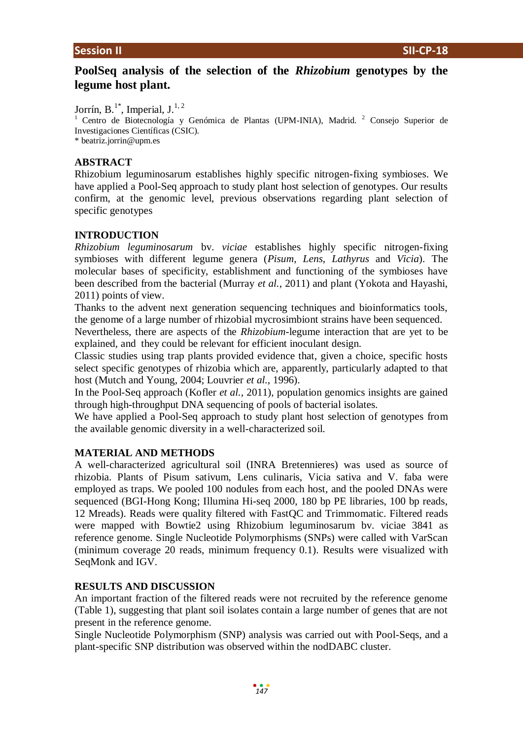# **PoolSeq analysis of the selection of the** *Rhizobium* **genotypes by the legume host plant.**

Jorrín, B.<sup>1\*</sup>, Imperial, J.<sup>1, 2</sup>

<sup>1</sup> Centro de Biotecnología y Genómica de Plantas (UPM-INIA), Madrid. <sup>2</sup> Consejo Superior de Investigaciones Científicas (CSIC).

\* beatriz.jorrin@upm.es

## **ABSTRACT**

Rhizobium leguminosarum establishes highly specific nitrogen-fixing symbioses. We have applied a Pool-Seq approach to study plant host selection of genotypes. Our results confirm, at the genomic level, previous observations regarding plant selection of specific genotypes

## **INTRODUCTION**

*Rhizobium leguminosarum* bv. *viciae* establishes highly specific nitrogen-fixing symbioses with different legume genera (*Pisum*, *Lens*, *Lathyrus* and *Vicia*). The molecular bases of specificity, establishment and functioning of the symbioses have been described from the bacterial (Murray *et al.*, 2011) and plant (Yokota and Hayashi, 2011) points of view.

Thanks to the advent next generation sequencing techniques and bioinformatics tools, the genome of a large number of rhizobial mycrosimbiont strains have been sequenced.

Nevertheless, there are aspects of the *Rhizobium*-legume interaction that are yet to be explained, and they could be relevant for efficient inoculant design.

Classic studies using trap plants provided evidence that, given a choice, specific hosts select specific genotypes of rhizobia which are, apparently, particularly adapted to that host (Mutch and Young, 2004; Louvrier *et al.*, 1996).

In the Pool-Seq approach (Kofler *et al.*, 2011), population genomics insights are gained through high-throughput DNA sequencing of pools of bacterial isolates.

We have applied a Pool-Seq approach to study plant host selection of genotypes from the available genomic diversity in a well-characterized soil.

## **MATERIAL AND METHODS**

A well-characterized agricultural soil (INRA Bretennieres) was used as source of rhizobia. Plants of Pisum sativum, Lens culinaris, Vicia sativa and V. faba were employed as traps. We pooled 100 nodules from each host, and the pooled DNAs were sequenced (BGI-Hong Kong; Illumina Hi-seq 2000, 180 bp PE libraries, 100 bp reads, 12 Mreads). Reads were quality filtered with FastQC and Trimmomatic. Filtered reads were mapped with Bowtie2 using Rhizobium leguminosarum bv. viciae 3841 as reference genome. Single Nucleotide Polymorphisms (SNPs) were called with VarScan (minimum coverage 20 reads, minimum frequency 0.1). Results were visualized with SeqMonk and IGV.

## **RESULTS AND DISCUSSION**

An important fraction of the filtered reads were not recruited by the reference genome (Table 1), suggesting that plant soil isolates contain a large number of genes that are not present in the reference genome.

Single Nucleotide Polymorphism (SNP) analysis was carried out with Pool-Seqs, and a plant-specific SNP distribution was observed within the nodDABC cluster.